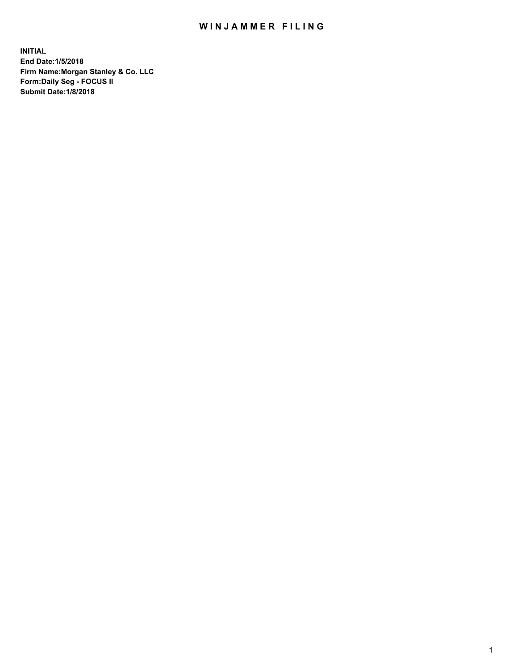## WIN JAMMER FILING

**INITIAL End Date:1/5/2018 Firm Name:Morgan Stanley & Co. LLC Form:Daily Seg - FOCUS II Submit Date:1/8/2018**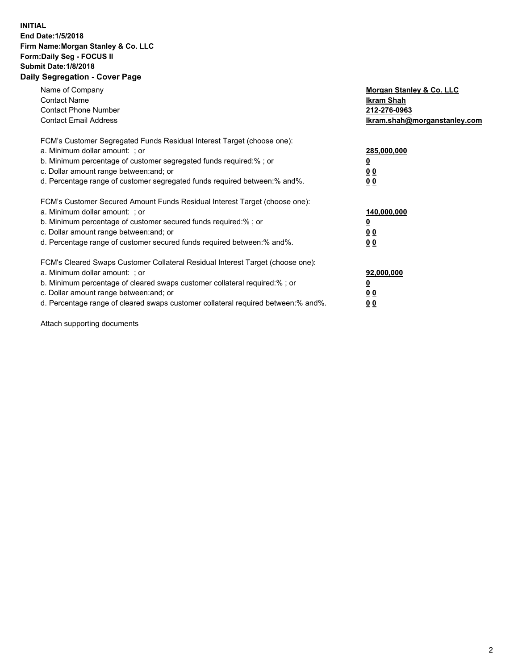## **INITIAL End Date:1/5/2018 Firm Name:Morgan Stanley & Co. LLC Form:Daily Seg - FOCUS II Submit Date:1/8/2018 Daily Segregation - Cover Page**

| Name of Company<br><b>Contact Name</b><br><b>Contact Phone Number</b><br><b>Contact Email Address</b>                                                                                                                                                                                                                         | Morgan Stanley & Co. LLC<br>Ikram Shah<br>212-276-0963<br>lkram.shah@morganstanley.com |
|-------------------------------------------------------------------------------------------------------------------------------------------------------------------------------------------------------------------------------------------------------------------------------------------------------------------------------|----------------------------------------------------------------------------------------|
| FCM's Customer Segregated Funds Residual Interest Target (choose one):<br>a. Minimum dollar amount: ; or<br>b. Minimum percentage of customer segregated funds required:%; or<br>c. Dollar amount range between: and; or<br>d. Percentage range of customer segregated funds required between:% and%.                         | 285,000,000<br>0 <sub>0</sub><br>00                                                    |
| FCM's Customer Secured Amount Funds Residual Interest Target (choose one):<br>a. Minimum dollar amount: ; or<br>b. Minimum percentage of customer secured funds required:%; or<br>c. Dollar amount range between: and; or<br>d. Percentage range of customer secured funds required between:% and%.                           | 140,000,000<br>0 <sub>0</sub><br>0 <sub>0</sub>                                        |
| FCM's Cleared Swaps Customer Collateral Residual Interest Target (choose one):<br>a. Minimum dollar amount: ; or<br>b. Minimum percentage of cleared swaps customer collateral required:%; or<br>c. Dollar amount range between: and; or<br>d. Percentage range of cleared swaps customer collateral required between:% and%. | 92,000,000<br>0 <sub>0</sub><br><u>00</u>                                              |

Attach supporting documents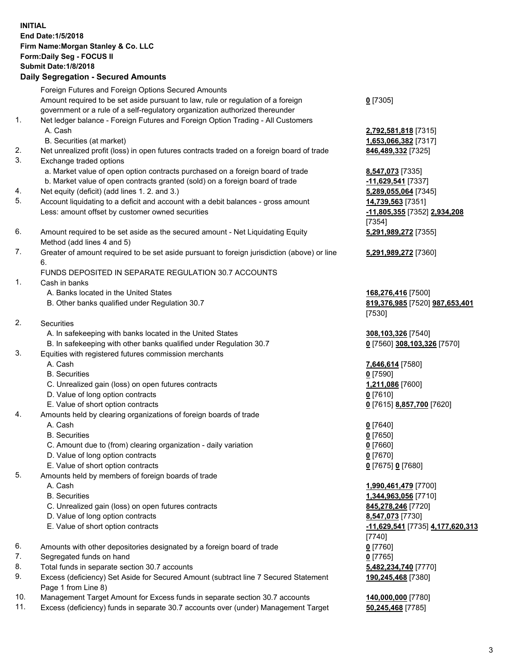## **INITIAL End Date:1/5/2018 Firm Name:Morgan Stanley & Co. LLC Form:Daily Seg - FOCUS II Submit Date:1/8/2018 Daily Segregation - Secured Amounts** Foreign Futures and Foreign Options Secured Amounts Amount required to be set aside pursuant to law, rule or regulation of a foreign government or a rule of a self-regulatory organization authorized thereunder

- 1. Net ledger balance Foreign Futures and Foreign Option Trading All Customers A. Cash **2,792,581,818** [7315] B. Securities (at market) **1,653,066,382** [7317] 2. Net unrealized profit (loss) in open futures contracts traded on a foreign board of trade **846,489,332** [7325]
- 3. Exchange traded options
	- a. Market value of open option contracts purchased on a foreign board of trade **8,547,073** [7335]
	- b. Market value of open contracts granted (sold) on a foreign board of trade **-11,629,541** [7337]
- 4. Net equity (deficit) (add lines 1. 2. and 3.) **5,289,055,064** [7345]
- 5. Account liquidating to a deficit and account with a debit balances gross amount **14,739,563** [7351] Less: amount offset by customer owned securities **-11,805,355** [7352] **2,934,208**
- 6. Amount required to be set aside as the secured amount Net Liquidating Equity Method (add lines 4 and 5)
- 7. Greater of amount required to be set aside pursuant to foreign jurisdiction (above) or line 6.

## FUNDS DEPOSITED IN SEPARATE REGULATION 30.7 ACCOUNTS

- 1. Cash in banks
	- A. Banks located in the United States **168,276,416** [7500]
	- B. Other banks qualified under Regulation 30.7 **819,376,985** [7520] **987,653,401**
- 2. Securities
	- A. In safekeeping with banks located in the United States **308,103,326** [7540]
	- B. In safekeeping with other banks qualified under Regulation 30.7 **0** [7560] **308,103,326** [7570]
- 3. Equities with registered futures commission merchants
	-
	-
	- C. Unrealized gain (loss) on open futures contracts **1,211,086** [7600]
	- D. Value of long option contracts **0** [7610]
- E. Value of short option contracts **0** [7615] **8,857,700** [7620]
- 4. Amounts held by clearing organizations of foreign boards of trade
	-
	-
	- C. Amount due to (from) clearing organization daily variation **0** [7660]
	- D. Value of long option contracts **0** [7670]
	- E. Value of short option contracts **0** [7675] **0** [7680]
- 5. Amounts held by members of foreign boards of trade
	-
	-
	- C. Unrealized gain (loss) on open futures contracts **845,278,246** [7720]
	- D. Value of long option contracts **8,547,073** [7730]
	- E. Value of short option contracts **-11,629,541** [7735] **4,177,620,313**
- 6. Amounts with other depositories designated by a foreign board of trade **0** [7760]
- 7. Segregated funds on hand **0** [7765]
- 8. Total funds in separate section 30.7 accounts **5,482,234,740** [7770]
- 9. Excess (deficiency) Set Aside for Secured Amount (subtract line 7 Secured Statement Page 1 from Line 8)
- 10. Management Target Amount for Excess funds in separate section 30.7 accounts **140,000,000** [7780]
- 11. Excess (deficiency) funds in separate 30.7 accounts over (under) Management Target **50,245,468** [7785]

**0** [7305]

[7354] **5,291,989,272** [7355]

**5,291,989,272** [7360]

[7530]

 A. Cash **7,646,614** [7580] B. Securities **0** [7590]

 A. Cash **0** [7640] B. Securities **0** [7650]

 A. Cash **1,990,461,479** [7700] B. Securities **1,344,963,056** [7710] [7740] **190,245,468** [7380]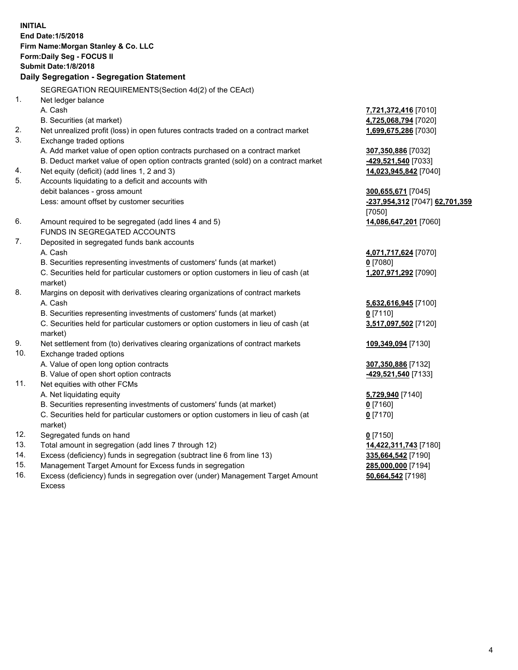**INITIAL End Date:1/5/2018 Firm Name:Morgan Stanley & Co. LLC Form:Daily Seg - FOCUS II Submit Date:1/8/2018 Daily Segregation - Segregation Statement** SEGREGATION REQUIREMENTS(Section 4d(2) of the CEAct) 1. Net ledger balance A. Cash **7,721,372,416** [7010] B. Securities (at market) **4,725,068,794** [7020] 2. Net unrealized profit (loss) in open futures contracts traded on a contract market **1,699,675,286** [7030] 3. Exchange traded options A. Add market value of open option contracts purchased on a contract market **307,350,886** [7032] B. Deduct market value of open option contracts granted (sold) on a contract market **-429,521,540** [7033] 4. Net equity (deficit) (add lines 1, 2 and 3) **14,023,945,842** [7040] 5. Accounts liquidating to a deficit and accounts with debit balances - gross amount **300,655,671** [7045] Less: amount offset by customer securities **-237,954,312** [7047] **62,701,359** [7050] 6. Amount required to be segregated (add lines 4 and 5) **14,086,647,201** [7060] FUNDS IN SEGREGATED ACCOUNTS 7. Deposited in segregated funds bank accounts A. Cash **4,071,717,624** [7070] B. Securities representing investments of customers' funds (at market) **0** [7080] C. Securities held for particular customers or option customers in lieu of cash (at market) **1,207,971,292** [7090] 8. Margins on deposit with derivatives clearing organizations of contract markets A. Cash **5,632,616,945** [7100] B. Securities representing investments of customers' funds (at market) **0** [7110] C. Securities held for particular customers or option customers in lieu of cash (at market) **3,517,097,502** [7120] 9. Net settlement from (to) derivatives clearing organizations of contract markets **109,349,094** [7130] 10. Exchange traded options A. Value of open long option contracts **307,350,886** [7132] B. Value of open short option contracts **-429,521,540** [7133] 11. Net equities with other FCMs A. Net liquidating equity **5,729,940** [7140] B. Securities representing investments of customers' funds (at market) **0** [7160] C. Securities held for particular customers or option customers in lieu of cash (at market) **0** [7170] 12. Segregated funds on hand **0** [7150] 13. Total amount in segregation (add lines 7 through 12) **14,422,311,743** [7180] 14. Excess (deficiency) funds in segregation (subtract line 6 from line 13) **335,664,542** [7190]

- 15. Management Target Amount for Excess funds in segregation **285,000,000** [7194]
- 16. Excess (deficiency) funds in segregation over (under) Management Target Amount Excess

**50,664,542** [7198]